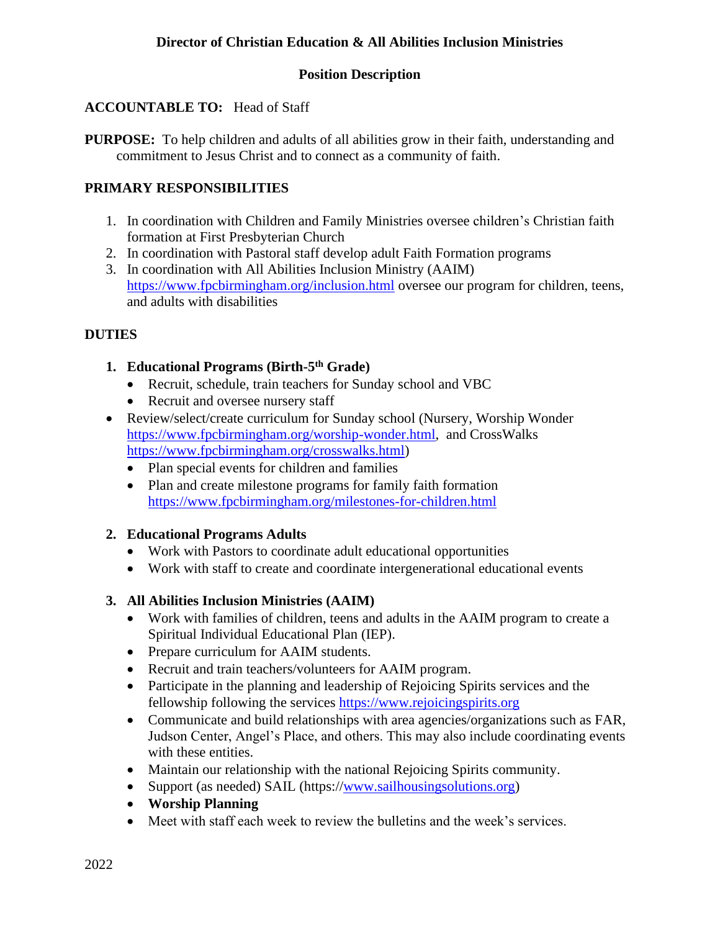## **Director of Christian Education & All Abilities Inclusion Ministries**

### **Position Description**

### **ACCOUNTABLE TO:** Head of Staff

**PURPOSE:** To help children and adults of all abilities grow in their faith, understanding and commitment to Jesus Christ and to connect as a community of faith.

### **PRIMARY RESPONSIBILITIES**

- 1. In coordination with Children and Family Ministries oversee children's Christian faith formation at First Presbyterian Church
- 2. In coordination with Pastoral staff develop adult Faith Formation programs
- 3. In coordination with All Abilities Inclusion Ministry (AAIM) <https://www.fpcbirmingham.org/inclusion.html> oversee our program for children, teens, and adults with disabilities

#### **DUTIES**

### **1. Educational Programs (Birth-5 th Grade)**

- Recruit, schedule, train teachers for Sunday school and VBC
- Recruit and oversee nursery staff
- Review/select/create curriculum for Sunday school (Nursery, Worship Wonder [https://www.fpcbirmingham.org/worship-wonder.html,](https://www.fpcbirmingham.org/worship-wonder.html) and CrossWalks [https://www.fpcbirmingham.org/crosswalks.html\)](https://www.fpcbirmingham.org/crosswalks.html)
	- Plan special events for children and families
	- Plan and create milestone programs for family faith formation <https://www.fpcbirmingham.org/milestones-for-children.html>

#### **2. Educational Programs Adults**

- Work with Pastors to coordinate adult educational opportunities
- Work with staff to create and coordinate intergenerational educational events

#### **3. All Abilities Inclusion Ministries (AAIM)**

- Work with families of children, teens and adults in the AAIM program to create a Spiritual Individual Educational Plan (IEP).
- Prepare curriculum for AAIM students.
- Recruit and train teachers/volunteers for AAIM program.
- Participate in the planning and leadership of Rejoicing Spirits services and the fellowship following the services [https://www.rejoicingspirits.org](https://www.rejoicingspirits.org/)
- Communicate and build relationships with area agencies/organizations such as FAR, Judson Center, Angel's Place, and others. This may also include coordinating events with these entities.
- Maintain our relationship with the national Rejoicing Spirits community.
- Support (as needed) SAIL (https:/[/www.sailhousingsolutions.org\)](http://www.sailhousingsolutions.org/)
- **Worship Planning**
- Meet with staff each week to review the bulletins and the week's services.